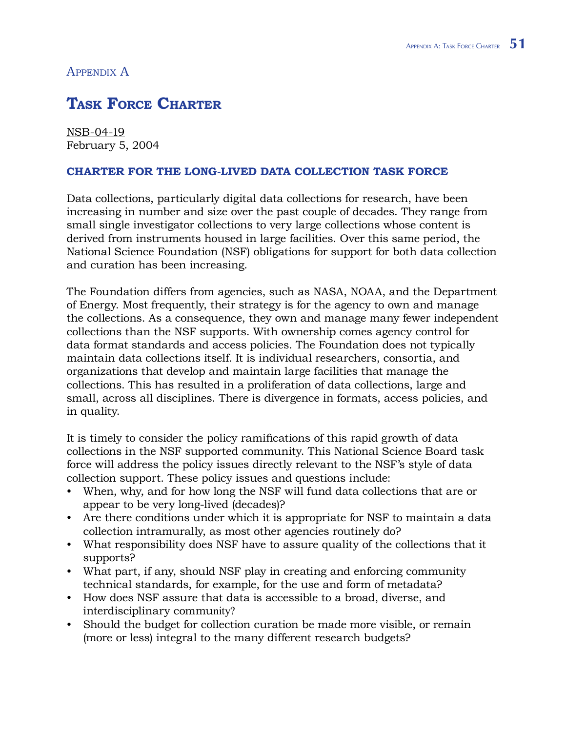## Appendix A

## **Task Force Charter**

NSB-04-19 February 5, 2004

## **Charter for the Long-Lived Data Collection Task Force**

Data collections, particularly digital data collections for research, have been increasing in number and size over the past couple of decades. They range from small single investigator collections to very large collections whose content is derived from instruments housed in large facilities. Over this same period, the National Science Foundation (NSF) obligations for support for both data collection and curation has been increasing.

The Foundation differs from agencies, such as NASA, NOAA, and the Department of Energy. Most frequently, their strategy is for the agency to own and manage the collections. As a consequence, they own and manage many fewer independent collections than the NSF supports. With ownership comes agency control for data format standards and access policies. The Foundation does not typically maintain data collections itself. It is individual researchers, consortia, and organizations that develop and maintain large facilities that manage the collections. This has resulted in a proliferation of data collections, large and small, across all disciplines. There is divergence in formats, access policies, and in quality.

It is timely to consider the policy ramifications of this rapid growth of data collections in the NSF supported community. This National Science Board task force will address the policy issues directly relevant to the NSF's style of data collection support. These policy issues and questions include:

- When, why, and for how long the NSF will fund data collections that are or appear to be very long-lived (decades)? •
- Are there conditions under which it is appropriate for NSF to maintain a data collection intramurally, as most other agencies routinely do?
- What responsibility does NSF have to assure quality of the collections that it supports?
- What part, if any, should NSF play in creating and enforcing community technical standards, for example, for the use and form of metadata?
- How does NSF assure that data is accessible to a broad, diverse, and interdisciplinary community?
- Should the budget for collection curation be made more visible, or remain (more or less) integral to the many different research budgets?